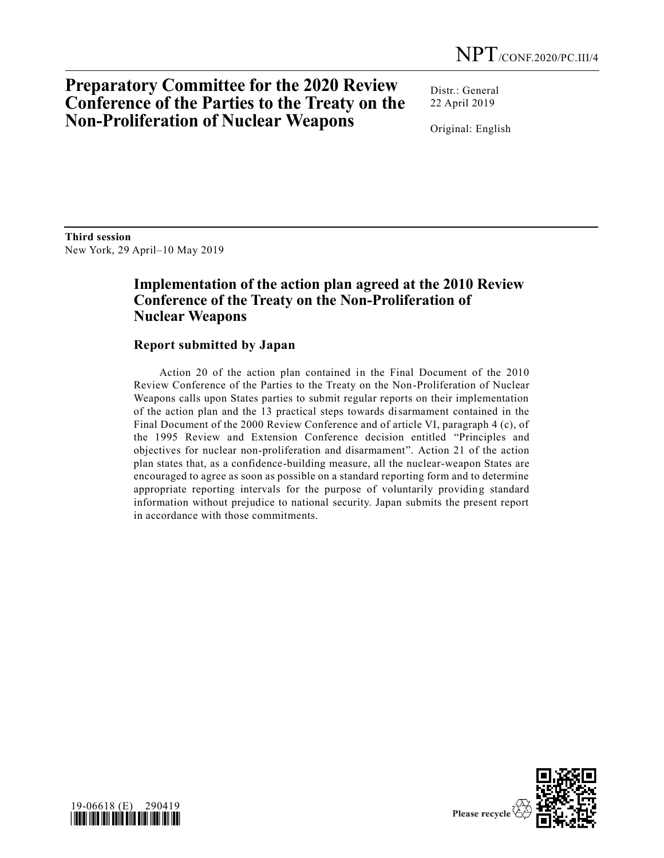# **Preparatory Committee for the 2020 Review Conference of the Parties to the Treaty on the Non-Proliferation of Nuclear Weapons**

Distr.: General 22 April 2019

Original: English

**Third session**  New York, 29 April–10 May 2019

## **Implementation of the action plan agreed at the 2010 Review Conference of the Treaty on the Non-Proliferation of Nuclear Weapons**

### **Report submitted by Japan**

Action 20 of the action plan contained in the Final Document of the 2010 Review Conference of the Parties to the Treaty on the Non-Proliferation of Nuclear Weapons calls upon States parties to submit regular reports on their implementation of the action plan and the 13 practical steps towards disarmament contained in the Final Document of the 2000 Review Conference and of article VI, paragraph 4 (c), of the 1995 Review and Extension Conference decision entitled "Principles and objectives for nuclear non-proliferation and disarmament". Action 21 of the action plan states that, as a confidence-building measure, all the nuclear-weapon States are encouraged to agree as soon as possible on a standard reporting form and to determine appropriate reporting intervals for the purpose of voluntarily providing standard information without prejudice to national security. Japan submits the present report in accordance with those commitments.



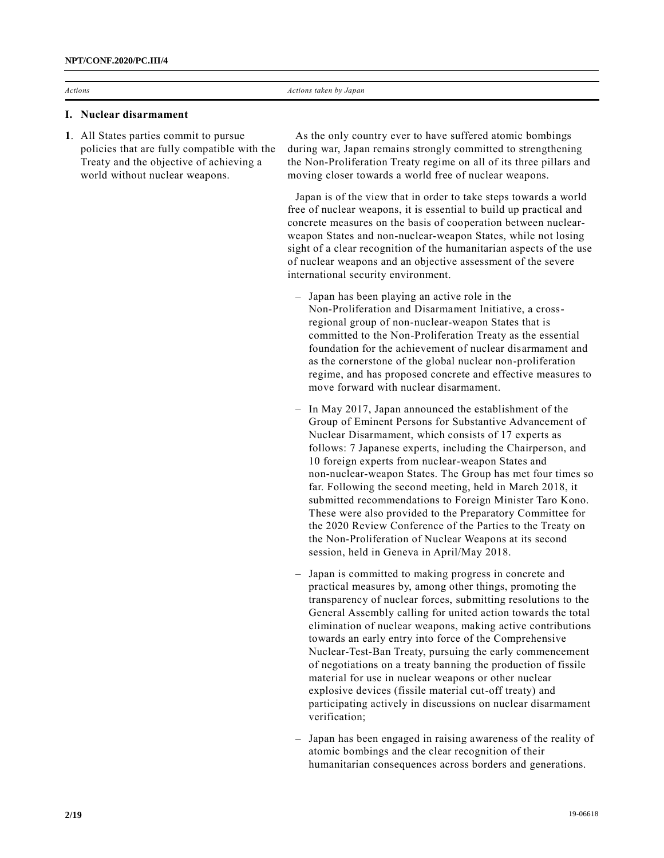#### **I. Nuclear disarmament**

**1**. All States parties commit to pursue policies that are fully compatible with the Treaty and the objective of achieving a world without nuclear weapons.

As the only country ever to have suffered atomic bombings during war, Japan remains strongly committed to strengthening the Non-Proliferation Treaty regime on all of its three pillars and moving closer towards a world free of nuclear weapons.

Japan is of the view that in order to take steps towards a world free of nuclear weapons, it is essential to build up practical and concrete measures on the basis of cooperation between nuclearweapon States and non-nuclear-weapon States, while not losing sight of a clear recognition of the humanitarian aspects of the use of nuclear weapons and an objective assessment of the severe international security environment.

- Japan has been playing an active role in the Non-Proliferation and Disarmament Initiative, a crossregional group of non-nuclear-weapon States that is committed to the Non-Proliferation Treaty as the essential foundation for the achievement of nuclear disarmament and as the cornerstone of the global nuclear non-proliferation regime, and has proposed concrete and effective measures to move forward with nuclear disarmament.
- In May 2017, Japan announced the establishment of the Group of Eminent Persons for Substantive Advancement of Nuclear Disarmament, which consists of 17 experts as follows: 7 Japanese experts, including the Chairperson, and 10 foreign experts from nuclear-weapon States and non-nuclear-weapon States. The Group has met four times so far. Following the second meeting, held in March 2018, it submitted recommendations to Foreign Minister Taro Kono. These were also provided to the Preparatory Committee for the 2020 Review Conference of the Parties to the Treaty on the Non-Proliferation of Nuclear Weapons at its second session, held in Geneva in April/May 2018.
- Japan is committed to making progress in concrete and practical measures by, among other things, promoting the transparency of nuclear forces, submitting resolutions to the General Assembly calling for united action towards the total elimination of nuclear weapons, making active contributions towards an early entry into force of the Comprehensive Nuclear-Test-Ban Treaty, pursuing the early commencement of negotiations on a treaty banning the production of fissile material for use in nuclear weapons or other nuclear explosive devices (fissile material cut-off treaty) and participating actively in discussions on nuclear disarmament verification;
- Japan has been engaged in raising awareness of the reality of atomic bombings and the clear recognition of their humanitarian consequences across borders and generations.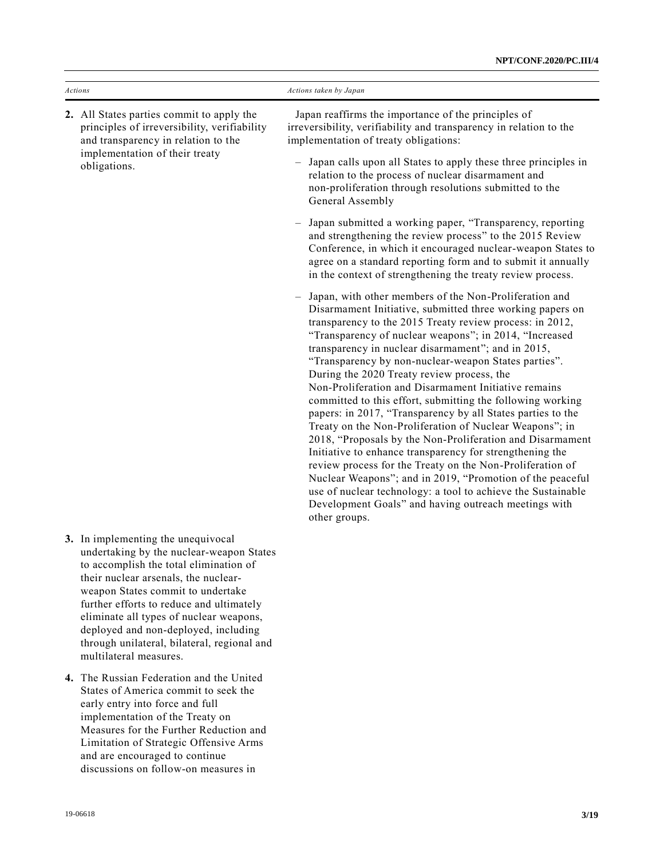| Actions                                                                                                                                                                            | Actions taken by Japan                                                                                                                                                                                                                                                                                                                                                                                                                                                                                                                                                                                                                                                                                                                                                                                                                                                                                                                                                                                                                              |
|------------------------------------------------------------------------------------------------------------------------------------------------------------------------------------|-----------------------------------------------------------------------------------------------------------------------------------------------------------------------------------------------------------------------------------------------------------------------------------------------------------------------------------------------------------------------------------------------------------------------------------------------------------------------------------------------------------------------------------------------------------------------------------------------------------------------------------------------------------------------------------------------------------------------------------------------------------------------------------------------------------------------------------------------------------------------------------------------------------------------------------------------------------------------------------------------------------------------------------------------------|
| 2. All States parties commit to apply the<br>principles of irreversibility, verifiability<br>and transparency in relation to the<br>implementation of their treaty<br>obligations. | Japan reaffirms the importance of the principles of<br>irreversibility, verifiability and transparency in relation to the<br>implementation of treaty obligations:                                                                                                                                                                                                                                                                                                                                                                                                                                                                                                                                                                                                                                                                                                                                                                                                                                                                                  |
|                                                                                                                                                                                    | Japan calls upon all States to apply these three principles in<br>relation to the process of nuclear disarmament and<br>non-proliferation through resolutions submitted to the<br>General Assembly                                                                                                                                                                                                                                                                                                                                                                                                                                                                                                                                                                                                                                                                                                                                                                                                                                                  |
|                                                                                                                                                                                    | Japan submitted a working paper, "Transparency, reporting<br>and strengthening the review process" to the 2015 Review<br>Conference, in which it encouraged nuclear-weapon States to<br>agree on a standard reporting form and to submit it annually<br>in the context of strengthening the treaty review process.                                                                                                                                                                                                                                                                                                                                                                                                                                                                                                                                                                                                                                                                                                                                  |
|                                                                                                                                                                                    | - Japan, with other members of the Non-Proliferation and<br>Disarmament Initiative, submitted three working papers on<br>transparency to the 2015 Treaty review process: in 2012,<br>"Transparency of nuclear weapons"; in 2014, "Increased<br>transparency in nuclear disarmament"; and in 2015,<br>"Transparency by non-nuclear-weapon States parties".<br>During the 2020 Treaty review process, the<br>Non-Proliferation and Disarmament Initiative remains<br>committed to this effort, submitting the following working<br>papers: in 2017, "Transparency by all States parties to the<br>Treaty on the Non-Proliferation of Nuclear Weapons"; in<br>2018, "Proposals by the Non-Proliferation and Disarmament<br>Initiative to enhance transparency for strengthening the<br>review process for the Treaty on the Non-Proliferation of<br>Nuclear Weapons"; and in 2019, "Promotion of the peaceful<br>use of nuclear technology: a tool to achieve the Sustainable<br>Development Goals" and having outreach meetings with<br>other groups. |
| 3. In implementing the unequivocal<br>undertaking by the nuclear-weapon States                                                                                                     |                                                                                                                                                                                                                                                                                                                                                                                                                                                                                                                                                                                                                                                                                                                                                                                                                                                                                                                                                                                                                                                     |

- to accomplish the total elimination of their nuclear arsenals, the nuclearweapon States commit to undertake further efforts to reduce and ultimately eliminate all types of nuclear weapons, deployed and non-deployed, including through unilateral, bilateral, regional and multilateral measures.
- **4.** The Russian Federation and the United States of America commit to seek the early entry into force and full implementation of the Treaty on Measures for the Further Reduction and Limitation of Strategic Offensive Arms and are encouraged to continue discussions on follow-on measures in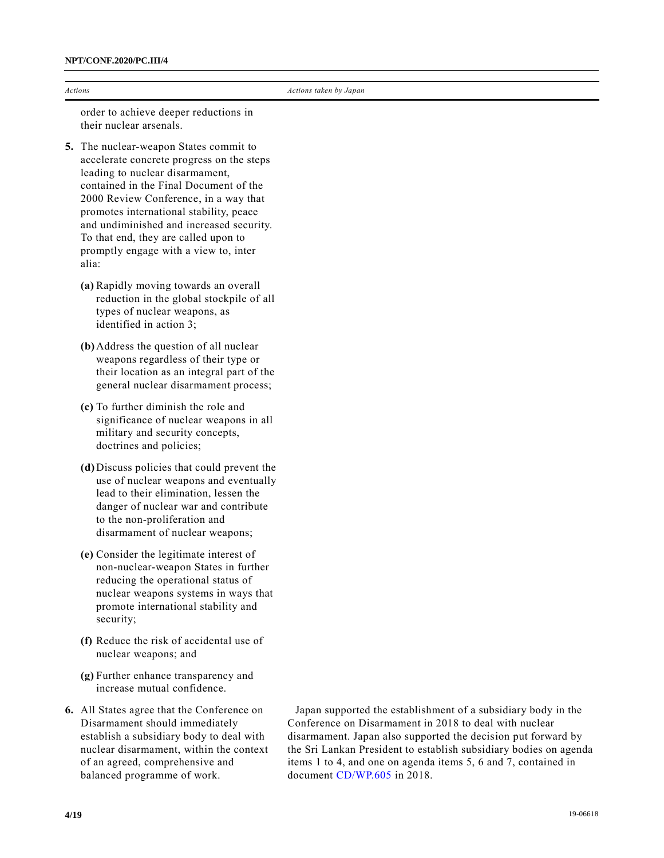| Actions |  |
|---------|--|
|         |  |

order to achieve deeper reductions in their nuclear arsenals.

- **5.** The nuclear-weapon States commit to accelerate concrete progress on the steps leading to nuclear disarmament, contained in the Final Document of the 2000 Review Conference, in a way that promotes international stability, peace and undiminished and increased security. To that end, they are called upon to promptly engage with a view to, inter alia:
	- **(a)** Rapidly moving towards an overall reduction in the global stockpile of all types of nuclear weapons, as identified in action 3;
	- **(b)** Address the question of all nuclear weapons regardless of their type or their location as an integral part of the general nuclear disarmament process;
	- **(c)** To further diminish the role and significance of nuclear weapons in all military and security concepts, doctrines and policies;
	- **(d)** Discuss policies that could prevent the use of nuclear weapons and eventually lead to their elimination, lessen the danger of nuclear war and contribute to the non-proliferation and disarmament of nuclear weapons;
	- **(e)** Consider the legitimate interest of non-nuclear-weapon States in further reducing the operational status of nuclear weapons systems in ways that promote international stability and security;
	- **(f)** Reduce the risk of accidental use of nuclear weapons; and
	- **(g)** Further enhance transparency and increase mutual confidence.
- **6.** All States agree that the Conference on Disarmament should immediately establish a subsidiary body to deal with nuclear disarmament, within the context of an agreed, comprehensive and balanced programme of work.

Japan supported the establishment of a subsidiary body in the Conference on Disarmament in 2018 to deal with nuclear disarmament. Japan also supported the decision put forward by the Sri Lankan President to establish subsidiary bodies on agenda items 1 to 4, and one on agenda items 5, 6 and 7, contained in document [CD/WP.605](https://undocs.org/en/CD/WP.605) in 2018.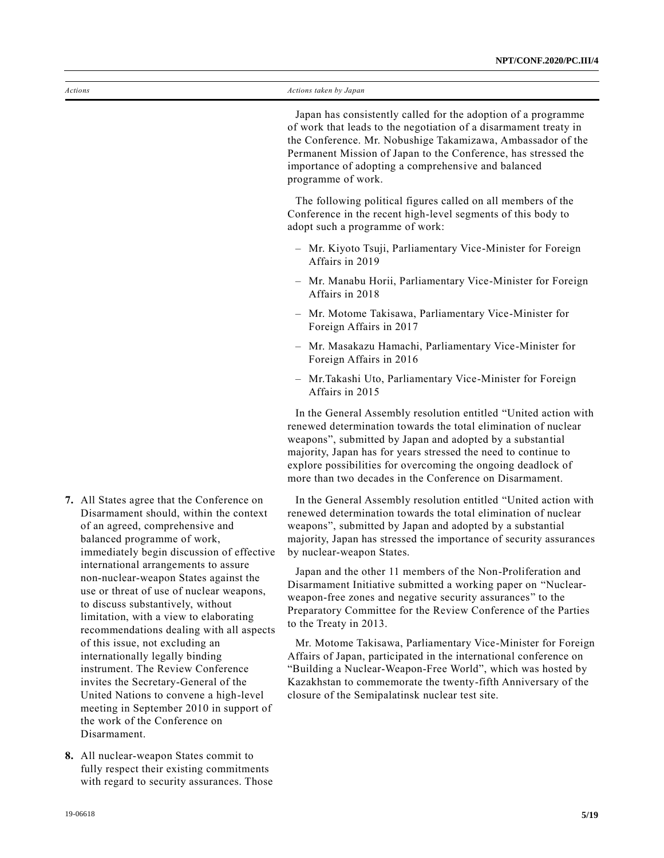Japan has consistently called for the adoption of a programme of work that leads to the negotiation of a disarmament treaty in the Conference. Mr. Nobushige Takamizawa, Ambassador of the Permanent Mission of Japan to the Conference, has stressed the importance of adopting a comprehensive and balanced programme of work.

The following political figures called on all members of the Conference in the recent high-level segments of this body to adopt such a programme of work:

- Mr. Kiyoto Tsuji, Parliamentary Vice-Minister for Foreign Affairs in 2019
- Mr. Manabu Horii, Parliamentary Vice-Minister for Foreign Affairs in 2018
- Mr. Motome Takisawa, Parliamentary Vice-Minister for Foreign Affairs in 2017
- Mr. Masakazu Hamachi, Parliamentary Vice-Minister for Foreign Affairs in 2016
- Mr.Takashi Uto, Parliamentary Vice-Minister for Foreign Affairs in 2015

In the General Assembly resolution entitled "United action with renewed determination towards the total elimination of nuclear weapons", submitted by Japan and adopted by a substantial majority, Japan has for years stressed the need to continue to explore possibilities for overcoming the ongoing deadlock of more than two decades in the Conference on Disarmament.

In the General Assembly resolution entitled "United action with renewed determination towards the total elimination of nuclear weapons", submitted by Japan and adopted by a substantial majority, Japan has stressed the importance of security assurances by nuclear-weapon States.

Japan and the other 11 members of the Non-Proliferation and Disarmament Initiative submitted a working paper on "Nuclearweapon-free zones and negative security assurances" to the Preparatory Committee for the Review Conference of the Parties to the Treaty in 2013.

Mr. Motome Takisawa, Parliamentary Vice-Minister for Foreign Affairs of Japan, participated in the international conference on "Building a Nuclear-Weapon-Free World", which was hosted by Kazakhstan to commemorate the twenty-fifth Anniversary of the closure of the Semipalatinsk nuclear test site.

- **7.** All States agree that the Conference on Disarmament should, within the context of an agreed, comprehensive and balanced programme of work, immediately begin discussion of effective international arrangements to assure non-nuclear-weapon States against the use or threat of use of nuclear weapons, to discuss substantively, without limitation, with a view to elaborating recommendations dealing with all aspects of this issue, not excluding an internationally legally binding instrument. The Review Conference invites the Secretary-General of the United Nations to convene a high-level meeting in September 2010 in support of the work of the Conference on Disarmament.
- **8.** All nuclear-weapon States commit to fully respect their existing commitments with regard to security assurances. Those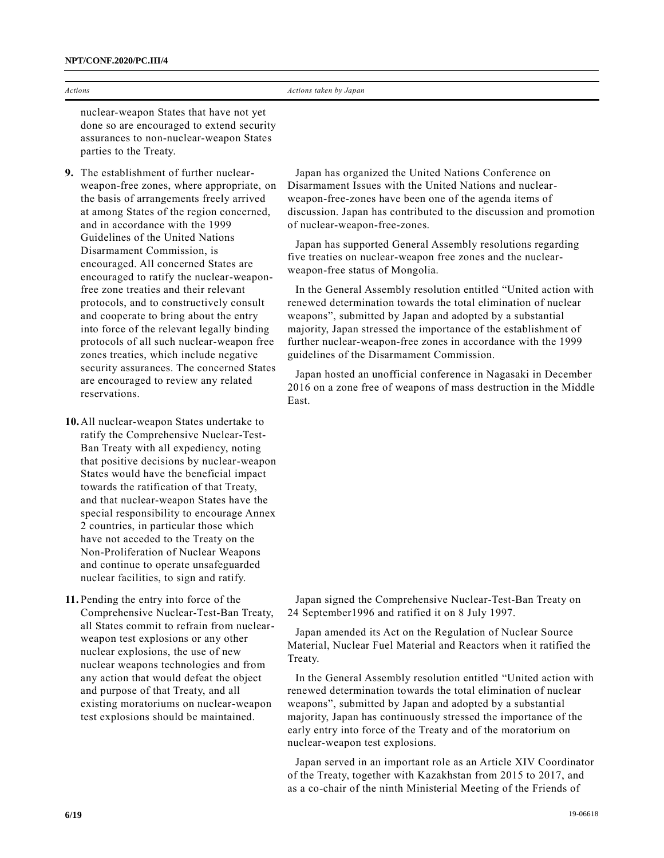|                | NPT/CONF.2020/PC.III/4                                                                                                                                                                                                                                                            |                                                                                                                                                                                                                                                                                                                                                                                                              |
|----------------|-----------------------------------------------------------------------------------------------------------------------------------------------------------------------------------------------------------------------------------------------------------------------------------|--------------------------------------------------------------------------------------------------------------------------------------------------------------------------------------------------------------------------------------------------------------------------------------------------------------------------------------------------------------------------------------------------------------|
| <b>Actions</b> |                                                                                                                                                                                                                                                                                   | Actions taken by Japan                                                                                                                                                                                                                                                                                                                                                                                       |
|                | nuclear-weapon States that have not yet<br>done so are encouraged to extend security<br>assurances to non-nuclear-weapon States<br>parties to the Treaty.                                                                                                                         |                                                                                                                                                                                                                                                                                                                                                                                                              |
|                | 9. The establishment of further nuclear-<br>weapon-free zones, where appropriate, on<br>the basis of arrangements freely arrived<br>at among States of the region concerned,<br>and in accordance with the 1999<br>Guidelines of the United Nations<br>Disarmament Commission, is | Japan has organized the United Nations Conference on<br>Disarmament Issues with the United Nations and nuclear-<br>weapon-free-zones have been one of the agenda items of<br>discussion. Japan has contributed to the discussion and promotion<br>of nuclear-weapon-free-zones.<br>Japan has supported General Assembly resolutions regarding<br>five treaties on nuclear-weapon free zones and the nuclear- |
|                | encouraged. All concerned States are<br>encouraged to ratify the nuclear-weapon-                                                                                                                                                                                                  | weapon-free status of Mongolia.                                                                                                                                                                                                                                                                                                                                                                              |
|                | free zone treaties and their relevant<br>protocols, and to constructively consult<br>and cooperate to bring about the entry                                                                                                                                                       | In the General Assembly resolution entitled "United action with<br>renewed determination towards the total elimination of nuclear<br>weapons", submitted by Japan and adopted by a substantial                                                                                                                                                                                                               |
|                | into force of the relevant legally binding<br>protocols of all such nuclear-weapon free                                                                                                                                                                                           | majority, Japan stressed the importance of the establishment of<br>further nuclear-weapon-free zones in accordance with the 1999                                                                                                                                                                                                                                                                             |

Japan hosted an unofficial conference in Nagasaki in December 2016 on a zone free of weapons of mass destruction in the Middle East.

guidelines of the Disarmament Commission.

**10.**All nuclear-weapon States undertake to ratify the Comprehensive Nuclear-Test-Ban Treaty with all expediency, noting that positive decisions by nuclear-weapon States would have the beneficial impact towards the ratification of that Treaty, and that nuclear-weapon States have the special responsibility to encourage Annex 2 countries, in particular those which have not acceded to the Treaty on the Non-Proliferation of Nuclear Weapons and continue to operate unsafeguarded nuclear facilities, to sign and ratify.

zones treaties, which include negative security assurances. The concerned States are encouraged to review any related

reservations.

**11.** Pending the entry into force of the Comprehensive Nuclear-Test-Ban Treaty, all States commit to refrain from nuclearweapon test explosions or any other nuclear explosions, the use of new nuclear weapons technologies and from any action that would defeat the object and purpose of that Treaty, and all existing moratoriums on nuclear-weapon test explosions should be maintained.

Japan signed the Comprehensive Nuclear-Test-Ban Treaty on 24 September1996 and ratified it on 8 July 1997.

Japan amended its Act on the Regulation of Nuclear Source Material, Nuclear Fuel Material and Reactors when it ratified the Treaty.

In the General Assembly resolution entitled "United action with renewed determination towards the total elimination of nuclear weapons", submitted by Japan and adopted by a substantial majority, Japan has continuously stressed the importance of the early entry into force of the Treaty and of the moratorium on nuclear-weapon test explosions.

Japan served in an important role as an Article XIV Coordinator of the Treaty, together with Kazakhstan from 2015 to 2017, and as a co-chair of the ninth Ministerial Meeting of the Friends of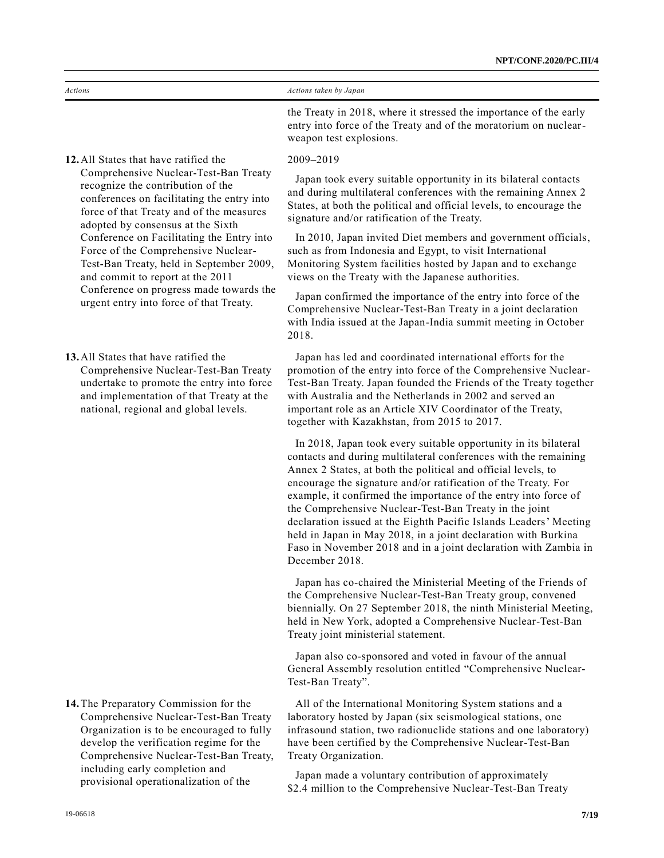| Actions | Actions taken by Japan                                                                                                                |
|---------|---------------------------------------------------------------------------------------------------------------------------------------|
|         | the Treaty in 2018, where it stressed the importance of the early<br>entry into force of the Treaty and of the moratorium on nuclear- |

weapon test explosions.

2009–2019

Japan took every suitable opportunity in its bilateral contacts and during multilateral conferences with the remaining Annex 2 States, at both the political and official levels, to encourage the signature and/or ratification of the Treaty.

In 2010, Japan invited Diet members and government officials, such as from Indonesia and Egypt, to visit International Monitoring System facilities hosted by Japan and to exchange views on the Treaty with the Japanese authorities.

Japan confirmed the importance of the entry into force of the Comprehensive Nuclear-Test-Ban Treaty in a joint declaration with India issued at the Japan-India summit meeting in October 2018.

Japan has led and coordinated international efforts for the promotion of the entry into force of the Comprehensive Nuclear-Test-Ban Treaty. Japan founded the Friends of the Treaty together with Australia and the Netherlands in 2002 and served an important role as an Article XIV Coordinator of the Treaty, together with Kazakhstan, from 2015 to 2017.

In 2018, Japan took every suitable opportunity in its bilateral contacts and during multilateral conferences with the remaining Annex 2 States, at both the political and official levels, to encourage the signature and/or ratification of the Treaty. For example, it confirmed the importance of the entry into force of the Comprehensive Nuclear-Test-Ban Treaty in the joint declaration issued at the Eighth Pacific Islands Leaders' Meeting held in Japan in May 2018, in a joint declaration with Burkina Faso in November 2018 and in a joint declaration with Zambia in December 2018.

Japan has co-chaired the Ministerial Meeting of the Friends of the Comprehensive Nuclear-Test-Ban Treaty group, convened biennially. On 27 September 2018, the ninth Ministerial Meeting, held in New York, adopted a Comprehensive Nuclear-Test-Ban Treaty joint ministerial statement.

Japan also co-sponsored and voted in favour of the annual General Assembly resolution entitled "Comprehensive Nuclear-Test-Ban Treaty".

All of the International Monitoring System stations and a laboratory hosted by Japan (six seismological stations, one infrasound station, two radionuclide stations and one laboratory) have been certified by the Comprehensive Nuclear-Test-Ban Treaty Organization.

Japan made a voluntary contribution of approximately \$2.4 million to the Comprehensive Nuclear-Test-Ban Treaty

**12.**All States that have ratified the Comprehensive Nuclear-Test-Ban Treaty recognize the contribution of the conferences on facilitating the entry into force of that Treaty and of the measures adopted by consensus at the Sixth Conference on Facilitating the Entry into Force of the Comprehensive Nuclear-Test-Ban Treaty, held in September 2009, and commit to report at the 2011 Conference on progress made towards the urgent entry into force of that Treaty.

**13.**All States that have ratified the Comprehensive Nuclear-Test-Ban Treaty undertake to promote the entry into force and implementation of that Treaty at the national, regional and global levels.

**14.**The Preparatory Commission for the Comprehensive Nuclear-Test-Ban Treaty Organization is to be encouraged to fully develop the verification regime for the Comprehensive Nuclear-Test-Ban Treaty, including early completion and provisional operationalization of the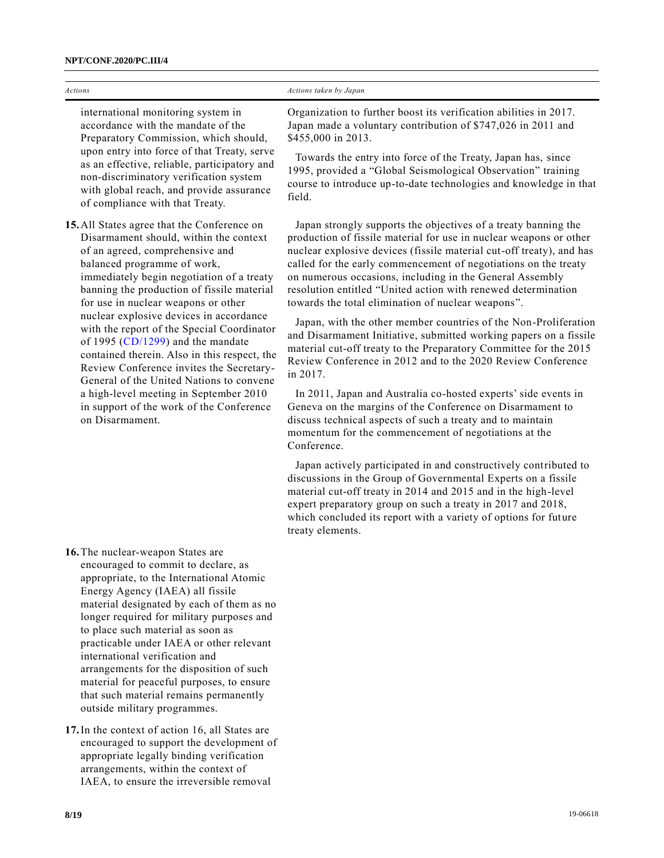| Actions                                                                                                                                                                                                                                                                                                                                                                         | Actions taken by Japan                                                                                                                                                                                                                                                                                                                                                                                                                                             |
|---------------------------------------------------------------------------------------------------------------------------------------------------------------------------------------------------------------------------------------------------------------------------------------------------------------------------------------------------------------------------------|--------------------------------------------------------------------------------------------------------------------------------------------------------------------------------------------------------------------------------------------------------------------------------------------------------------------------------------------------------------------------------------------------------------------------------------------------------------------|
|                                                                                                                                                                                                                                                                                                                                                                                 |                                                                                                                                                                                                                                                                                                                                                                                                                                                                    |
| international monitoring system in<br>accordance with the mandate of the<br>Preparatory Commission, which should,                                                                                                                                                                                                                                                               | Organization to further boost its verification abilities in 2017.<br>Japan made a voluntary contribution of \$747,026 in 2011 and<br>\$455,000 in 2013.                                                                                                                                                                                                                                                                                                            |
| upon entry into force of that Treaty, serve<br>as an effective, reliable, participatory and<br>non-discriminatory verification system<br>with global reach, and provide assurance<br>of compliance with that Treaty.                                                                                                                                                            | Towards the entry into force of the Treaty, Japan has, since<br>1995, provided a "Global Seismological Observation" training<br>course to introduce up-to-date technologies and knowledge in that<br>field.                                                                                                                                                                                                                                                        |
| 15. All States agree that the Conference on<br>Disarmament should, within the context<br>of an agreed, comprehensive and<br>balanced programme of work,<br>immediately begin negotiation of a treaty<br>banning the production of fissile material<br>for use in nuclear weapons or other                                                                                       | Japan strongly supports the objectives of a treaty banning the<br>production of fissile material for use in nuclear weapons or other<br>nuclear explosive devices (fissile material cut-off treaty), and has<br>called for the early commencement of negotiations on the treaty<br>on numerous occasions, including in the General Assembly<br>resolution entitled "United action with renewed determination<br>towards the total elimination of nuclear weapons". |
| nuclear explosive devices in accordance<br>with the report of the Special Coordinator<br>of 1995 ( $CD/1299$ ) and the mandate<br>contained therein. Also in this respect, the<br>Review Conference invites the Secretary-<br>General of the United Nations to convene<br>a high-level meeting in September 2010<br>in support of the work of the Conference<br>on Disarmament. | Japan, with the other member countries of the Non-Proliferation<br>and Disarmament Initiative, submitted working papers on a fissile<br>material cut-off treaty to the Preparatory Committee for the 2015<br>Review Conference in 2012 and to the 2020 Review Conference<br>in 2017.                                                                                                                                                                               |
|                                                                                                                                                                                                                                                                                                                                                                                 | In 2011, Japan and Australia co-hosted experts' side events in<br>Geneva on the margins of the Conference on Disarmament to<br>discuss technical aspects of such a treaty and to maintain<br>momentum for the commencement of negotiations at the<br>Conference.                                                                                                                                                                                                   |
|                                                                                                                                                                                                                                                                                                                                                                                 | Japan actively participated in and constructively contributed to<br>$\mathbf{1}^{\prime}, \ldots, \mathbf{1}^{\prime}, \ldots, \mathbf{1}^{\prime}, \ldots, \mathbf{1}^{\prime}$ . $\mathbf{1}^{\prime}, \mathbf{1}^{\prime}, \ldots, \mathbf{1}^{\prime}, \mathbf{1}^{\prime}, \mathbf{1}^{\prime}, \ldots, \mathbf{1}^{\prime}, \mathbf{1}^{\prime}$                                                                                                             |

discussions in the Group of Governmental Experts on a fissile material cut-off treaty in 2014 and 2015 and in the high-level expert preparatory group on such a treaty in 2017 and 2018, which concluded its report with a variety of options for future treaty elements.

**16.**The nuclear-weapon States are encouraged to commit to declare, as appropriate, to the International Atomic Energy Agency (IAEA) all fissile material designated by each of them as no longer required for military purposes and to place such material as soon as practicable under IAEA or other relevant international verification and arrangements for the disposition of such material for peaceful purposes, to ensure that such material remains permanently outside military programmes.

**17.**In the context of action 16, all States are encouraged to support the development of appropriate legally binding verification arrangements, within the context of IAEA, to ensure the irreversible removal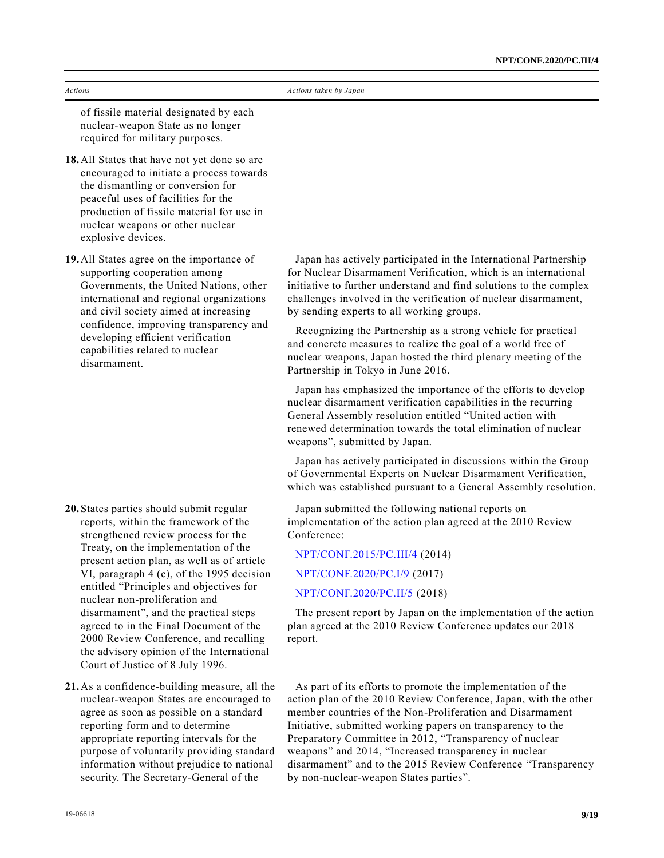of fissile material designated by each nuclear-weapon State as no longer required for military purposes.

- **18.**All States that have not yet done so are encouraged to initiate a process towards the dismantling or conversion for peaceful uses of facilities for the production of fissile material for use in nuclear weapons or other nuclear explosive devices.
- **19.**All States agree on the importance of supporting cooperation among Governments, the United Nations, other international and regional organizations and civil society aimed at increasing confidence, improving transparency and developing efficient verification capabilities related to nuclear disarmament.

- **20.**States parties should submit regular reports, within the framework of the strengthened review process for the Treaty, on the implementation of the present action plan, as well as of article VI, paragraph 4 (c), of the 1995 decision entitled "Principles and objectives for nuclear non-proliferation and disarmament", and the practical steps agreed to in the Final Document of the 2000 Review Conference, and recalling the advisory opinion of the International Court of Justice of 8 July 1996.
- **21.**As a confidence-building measure, all the nuclear-weapon States are encouraged to agree as soon as possible on a standard reporting form and to determine appropriate reporting intervals for the purpose of voluntarily providing standard information without prejudice to national security. The Secretary-General of the

Japan has actively participated in the International Partnership for Nuclear Disarmament Verification, which is an international initiative to further understand and find solutions to the complex challenges involved in the verification of nuclear disarmament, by sending experts to all working groups.

Recognizing the Partnership as a strong vehicle for practical and concrete measures to realize the goal of a world free of nuclear weapons, Japan hosted the third plenary meeting of the Partnership in Tokyo in June 2016.

Japan has emphasized the importance of the efforts to develop nuclear disarmament verification capabilities in the recurring General Assembly resolution entitled "United action with renewed determination towards the total elimination of nuclear weapons", submitted by Japan.

Japan has actively participated in discussions within the Group of Governmental Experts on Nuclear Disarmament Verification, which was established pursuant to a General Assembly resolution.

Japan submitted the following national reports on implementation of the action plan agreed at the 2010 Review Conference:

[NPT/CONF.2015/PC.III/4](https://undocs.org/en/NPT/CONF.2015/PC.III/4) (2014) [NPT/CONF.2020/PC.I/9](https://undocs.org/en/NPT/CONF.2020/PC.I/9) (2017) [NPT/CONF.2020/PC.II/5](https://undocs.org/en/NPT/CONF.2020/PC.II/5) (2018)

The present report by Japan on the implementation of the action plan agreed at the 2010 Review Conference updates our 2018 report.

As part of its efforts to promote the implementation of the action plan of the 2010 Review Conference, Japan, with the other member countries of the Non-Proliferation and Disarmament Initiative, submitted working papers on transparency to the Preparatory Committee in 2012, "Transparency of nuclear weapons" and 2014, "Increased transparency in nuclear disarmament" and to the 2015 Review Conference "Transparency by non-nuclear-weapon States parties".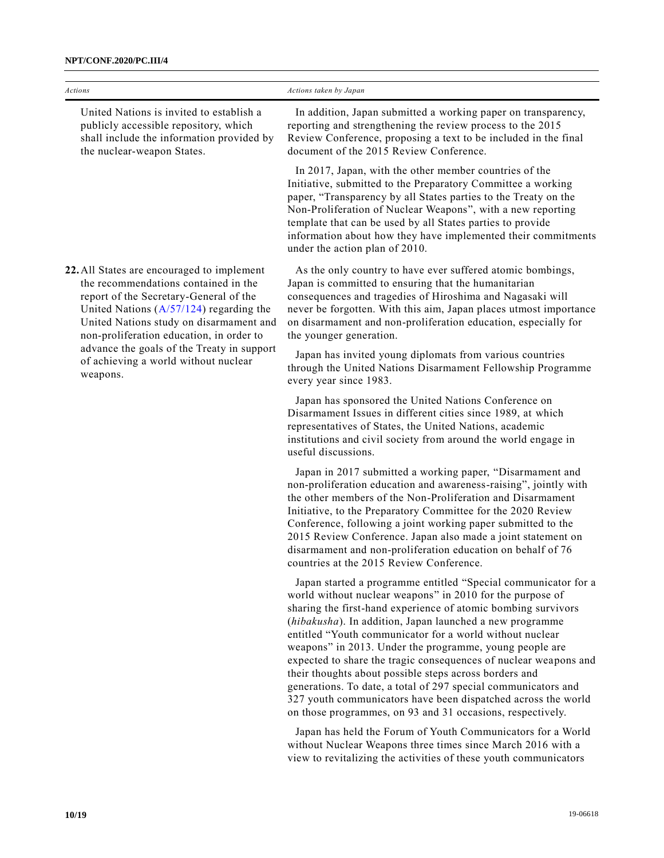| Actions                                                                                                                                                                                                                                                          | Actions taken by Japan                                                                                                                                                                                                                                                                                                                                                                                                                                                                                                                                                                                                                                                                                         |
|------------------------------------------------------------------------------------------------------------------------------------------------------------------------------------------------------------------------------------------------------------------|----------------------------------------------------------------------------------------------------------------------------------------------------------------------------------------------------------------------------------------------------------------------------------------------------------------------------------------------------------------------------------------------------------------------------------------------------------------------------------------------------------------------------------------------------------------------------------------------------------------------------------------------------------------------------------------------------------------|
| United Nations is invited to establish a<br>publicly accessible repository, which<br>shall include the information provided by<br>the nuclear-weapon States.                                                                                                     | In addition, Japan submitted a working paper on transparency,<br>reporting and strengthening the review process to the 2015<br>Review Conference, proposing a text to be included in the final<br>document of the 2015 Review Conference.                                                                                                                                                                                                                                                                                                                                                                                                                                                                      |
|                                                                                                                                                                                                                                                                  | In 2017, Japan, with the other member countries of the<br>Initiative, submitted to the Preparatory Committee a working<br>paper, "Transparency by all States parties to the Treaty on the<br>Non-Proliferation of Nuclear Weapons", with a new reporting<br>template that can be used by all States parties to provide<br>information about how they have implemented their commitments<br>under the action plan of 2010.                                                                                                                                                                                                                                                                                      |
| 22. All States are encouraged to implement<br>the recommendations contained in the<br>report of the Secretary-General of the<br>United Nations $(A/57/124)$ regarding the<br>United Nations study on disarmament and<br>non-proliferation education, in order to | As the only country to have ever suffered atomic bombings,<br>Japan is committed to ensuring that the humanitarian<br>consequences and tragedies of Hiroshima and Nagasaki will<br>never be forgotten. With this aim, Japan places utmost importance<br>on disarmament and non-proliferation education, especially for<br>the younger generation.                                                                                                                                                                                                                                                                                                                                                              |
| advance the goals of the Treaty in support<br>of achieving a world without nuclear<br>weapons.                                                                                                                                                                   | Japan has invited young diplomats from various countries<br>through the United Nations Disarmament Fellowship Programme<br>every year since 1983.                                                                                                                                                                                                                                                                                                                                                                                                                                                                                                                                                              |
|                                                                                                                                                                                                                                                                  | Japan has sponsored the United Nations Conference on<br>Disarmament Issues in different cities since 1989, at which<br>representatives of States, the United Nations, academic<br>institutions and civil society from around the world engage in<br>useful discussions.                                                                                                                                                                                                                                                                                                                                                                                                                                        |
|                                                                                                                                                                                                                                                                  | Japan in 2017 submitted a working paper, "Disarmament and<br>non-proliferation education and awareness-raising", jointly with<br>the other members of the Non-Proliferation and Disarmament<br>Initiative, to the Preparatory Committee for the 2020 Review<br>Conference, following a joint working paper submitted to the<br>2015 Review Conference. Japan also made a joint statement on<br>disarmament and non-proliferation education on behalf of 76<br>countries at the 2015 Review Conference.                                                                                                                                                                                                         |
|                                                                                                                                                                                                                                                                  | Japan started a programme entitled "Special communicator for a<br>world without nuclear weapons" in 2010 for the purpose of<br>sharing the first-hand experience of atomic bombing survivors<br>(hibakusha). In addition, Japan launched a new programme<br>entitled "Youth communicator for a world without nuclear<br>weapons" in 2013. Under the programme, young people are<br>expected to share the tragic consequences of nuclear weapons and<br>their thoughts about possible steps across borders and<br>generations. To date, a total of 297 special communicators and<br>327 youth communicators have been dispatched across the world<br>on those programmes, on 93 and 31 occasions, respectively. |
|                                                                                                                                                                                                                                                                  | Japan has held the Forum of Youth Communicators for a World<br>without Nuclear Weapons three times since March 2016 with a                                                                                                                                                                                                                                                                                                                                                                                                                                                                                                                                                                                     |

view to revitalizing the activities of these youth communicators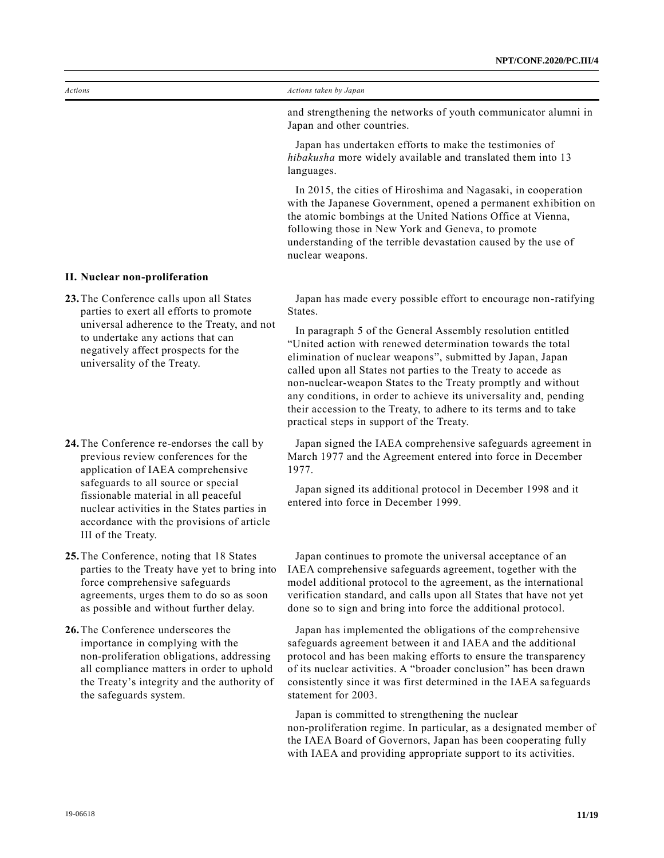and strengthening the networks of youth communicator alumni in Japan and other countries.

Japan has undertaken efforts to make the testimonies of *hibakusha* more widely available and translated them into 13 languages.

In 2015, the cities of Hiroshima and Nagasaki, in cooperation with the Japanese Government, opened a permanent exhibition on the atomic bombings at the United Nations Office at Vienna, following those in New York and Geneva, to promote understanding of the terrible devastation caused by the use of nuclear weapons.

**II. Nuclear non-proliferation**

- **23.**The Conference calls upon all States parties to exert all efforts to promote universal adherence to the Treaty, and not to undertake any actions that can negatively affect prospects for the universality of the Treaty.
- **24.**The Conference re-endorses the call by previous review conferences for the application of IAEA comprehensive safeguards to all source or special fissionable material in all peaceful nuclear activities in the States parties in accordance with the provisions of article III of the Treaty.

**25.**The Conference, noting that 18 States parties to the Treaty have yet to bring into force comprehensive safeguards agreements, urges them to do so as soon as possible and without further delay.

**26.**The Conference underscores the importance in complying with the non-proliferation obligations, addressing all compliance matters in order to uphold the Treaty's integrity and the authority of the safeguards system.

Japan has made every possible effort to encourage non-ratifying States.

In paragraph 5 of the General Assembly resolution entitled "United action with renewed determination towards the total elimination of nuclear weapons", submitted by Japan, Japan called upon all States not parties to the Treaty to accede as non-nuclear-weapon States to the Treaty promptly and without any conditions, in order to achieve its universality and, pending their accession to the Treaty, to adhere to its terms and to take practical steps in support of the Treaty.

Japan signed the IAEA comprehensive safeguards agreement in March 1977 and the Agreement entered into force in December 1977.

Japan signed its additional protocol in December 1998 and it entered into force in December 1999.

Japan continues to promote the universal acceptance of an IAEA comprehensive safeguards agreement, together with the model additional protocol to the agreement, as the international verification standard, and calls upon all States that have not yet done so to sign and bring into force the additional protocol.

Japan has implemented the obligations of the comprehensive safeguards agreement between it and IAEA and the additional protocol and has been making efforts to ensure the transparency of its nuclear activities. A "broader conclusion" has been drawn consistently since it was first determined in the IAEA sa feguards statement for 2003.

Japan is committed to strengthening the nuclear non-proliferation regime. In particular, as a designated member of the IAEA Board of Governors, Japan has been cooperating fully with IAEA and providing appropriate support to its activities.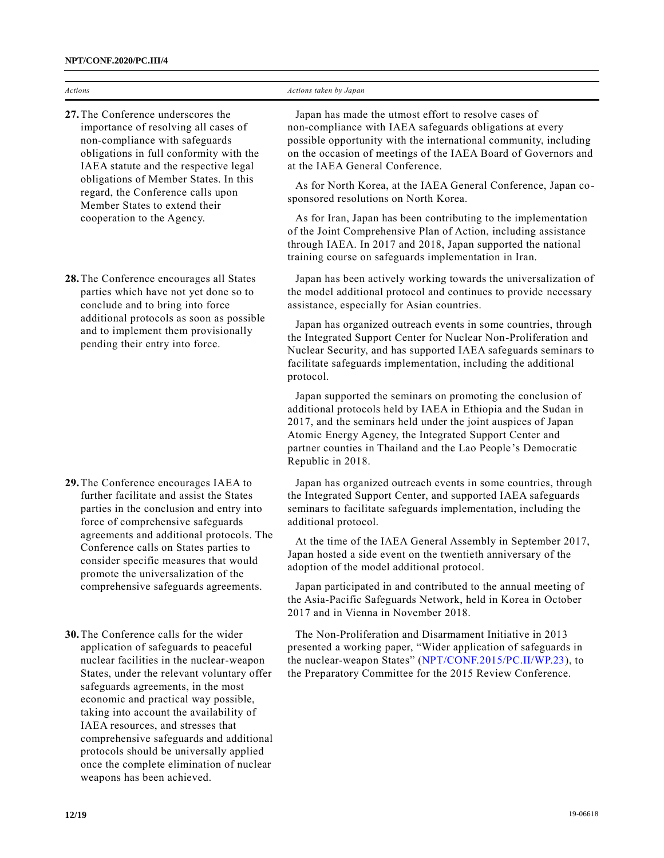| <b>Actions</b>                                                                                                                                                                                                                                                                                                                                | Actions taken by Japan                                                                                                                                                                                                                                                                                                                                                                                                                                                                                                                                                                                                                                            |
|-----------------------------------------------------------------------------------------------------------------------------------------------------------------------------------------------------------------------------------------------------------------------------------------------------------------------------------------------|-------------------------------------------------------------------------------------------------------------------------------------------------------------------------------------------------------------------------------------------------------------------------------------------------------------------------------------------------------------------------------------------------------------------------------------------------------------------------------------------------------------------------------------------------------------------------------------------------------------------------------------------------------------------|
| 27. The Conference underscores the<br>importance of resolving all cases of<br>non-compliance with safeguards<br>obligations in full conformity with the<br>IAEA statute and the respective legal<br>obligations of Member States. In this<br>regard, the Conference calls upon<br>Member States to extend their<br>cooperation to the Agency. | Japan has made the utmost effort to resolve cases of<br>non-compliance with IAEA safeguards obligations at every<br>possible opportunity with the international community, including<br>on the occasion of meetings of the IAEA Board of Governors and<br>at the IAEA General Conference.<br>As for North Korea, at the IAEA General Conference, Japan co-<br>sponsored resolutions on North Korea.<br>As for Iran, Japan has been contributing to the implementation<br>of the Joint Comprehensive Plan of Action, including assistance<br>through IAEA. In 2017 and 2018, Japan supported the national<br>training course on safeguards implementation in Iran. |
| 28. The Conference encourages all States<br>parties which have not yet done so to<br>conclude and to bring into force<br>additional protocols as soon as possible<br>and to implement them provisionally<br>pending their entry into force.                                                                                                   | Japan has been actively working towards the universalization of<br>the model additional protocol and continues to provide necessary<br>assistance, especially for Asian countries.<br>Japan has organized outreach events in some countries, through<br>the Integrated Support Center for Nuclear Non-Proliferation and<br>Nuclear Security, and has supported IAEA safeguards seminars to<br>facilitate safeguards implementation, including the additional<br>protocol.                                                                                                                                                                                         |

Japan supported the seminars on promoting the conclusion of additional protocols held by IAEA in Ethiopia and the Sudan in 2017, and the seminars held under the joint auspices of Japan Atomic Energy Agency, the Integrated Support Center and partner counties in Thailand and the Lao People's Democratic Republic in 2018.

Japan has organized outreach events in some countries, through the Integrated Support Center, and supported IAEA safeguards seminars to facilitate safeguards implementation, including the additional protocol.

At the time of the IAEA General Assembly in September 2017, Japan hosted a side event on the twentieth anniversary of the adoption of the model additional protocol.

Japan participated in and contributed to the annual meeting of the Asia-Pacific Safeguards Network, held in Korea in October 2017 and in Vienna in November 2018.

The Non-Proliferation and Disarmament Initiative in 2013 presented a working paper, "Wider application of safeguards in the nuclear-weapon States" [\(NPT/CONF.2015/PC.II/WP.23\)](https://undocs.org/en/NPT/CONF.2015/PC.II/WP.23), to the Preparatory Committee for the 2015 Review Conference.

**29.**The Conference encourages IAEA to further facilitate and assist the States parties in the conclusion and entry into force of comprehensive safeguards agreements and additional protocols. The Conference calls on States parties to consider specific measures that would promote the universalization of the comprehensive safeguards agreements.

**30.**The Conference calls for the wider application of safeguards to peaceful nuclear facilities in the nuclear-weapon States, under the relevant voluntary offer safeguards agreements, in the most economic and practical way possible, taking into account the availability of IAEA resources, and stresses that comprehensive safeguards and additional protocols should be universally applied once the complete elimination of nuclear weapons has been achieved.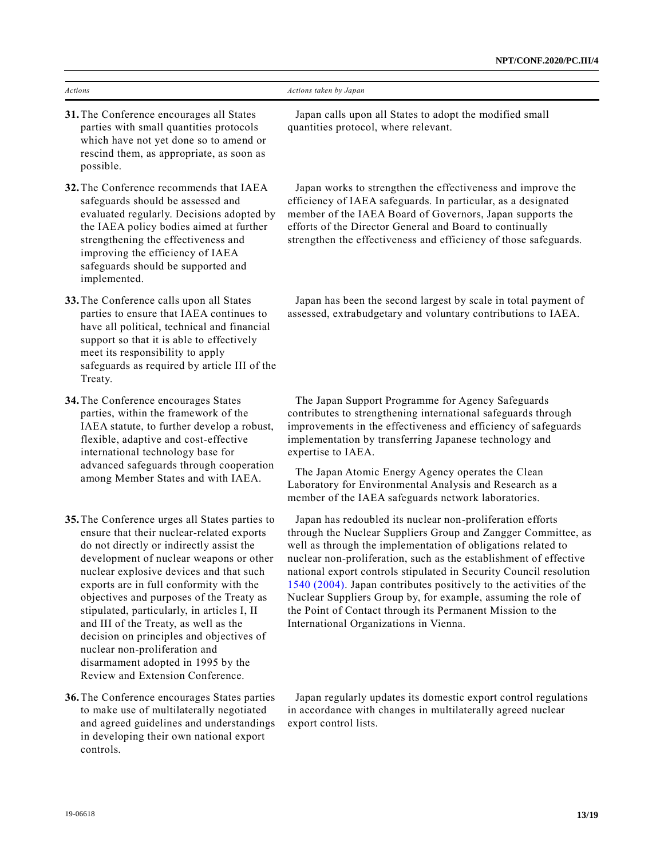| <b>Actions</b>                                                                                                                                                                                                                                                                                                                                                                                                                                                                                                                                                      | Actions taken by Japan                                                                                                                                                                                                                                                                                                                                                                                                                                                                                                                                                              |
|---------------------------------------------------------------------------------------------------------------------------------------------------------------------------------------------------------------------------------------------------------------------------------------------------------------------------------------------------------------------------------------------------------------------------------------------------------------------------------------------------------------------------------------------------------------------|-------------------------------------------------------------------------------------------------------------------------------------------------------------------------------------------------------------------------------------------------------------------------------------------------------------------------------------------------------------------------------------------------------------------------------------------------------------------------------------------------------------------------------------------------------------------------------------|
| 31. The Conference encourages all States<br>parties with small quantities protocols<br>which have not yet done so to amend or<br>rescind them, as appropriate, as soon as<br>possible.                                                                                                                                                                                                                                                                                                                                                                              | Japan calls upon all States to adopt the modified small<br>quantities protocol, where relevant.                                                                                                                                                                                                                                                                                                                                                                                                                                                                                     |
| 32. The Conference recommends that IAEA<br>safeguards should be assessed and<br>evaluated regularly. Decisions adopted by<br>the IAEA policy bodies aimed at further<br>strengthening the effectiveness and<br>improving the efficiency of IAEA<br>safeguards should be supported and<br>implemented.                                                                                                                                                                                                                                                               | Japan works to strengthen the effectiveness and improve the<br>efficiency of IAEA safeguards. In particular, as a designated<br>member of the IAEA Board of Governors, Japan supports the<br>efforts of the Director General and Board to continually<br>strengthen the effectiveness and efficiency of those safeguards.                                                                                                                                                                                                                                                           |
| 33. The Conference calls upon all States<br>parties to ensure that IAEA continues to<br>have all political, technical and financial<br>support so that it is able to effectively<br>meet its responsibility to apply<br>safeguards as required by article III of the<br>Treaty.                                                                                                                                                                                                                                                                                     | Japan has been the second largest by scale in total payment of<br>assessed, extrabudgetary and voluntary contributions to IAEA.                                                                                                                                                                                                                                                                                                                                                                                                                                                     |
| 34. The Conference encourages States<br>parties, within the framework of the<br>IAEA statute, to further develop a robust,<br>flexible, adaptive and cost-effective<br>international technology base for<br>advanced safeguards through cooperation<br>among Member States and with IAEA.                                                                                                                                                                                                                                                                           | The Japan Support Programme for Agency Safeguards<br>contributes to strengthening international safeguards through<br>improvements in the effectiveness and efficiency of safeguards<br>implementation by transferring Japanese technology and<br>expertise to IAEA.<br>The Japan Atomic Energy Agency operates the Clean<br>Laboratory for Environmental Analysis and Research as a<br>member of the IAEA safeguards network laboratories.                                                                                                                                         |
| 35. The Conference urges all States parties to<br>ensure that their nuclear-related exports<br>do not directly or indirectly assist the<br>development of nuclear weapons or other<br>nuclear explosive devices and that such<br>exports are in full conformity with the<br>objectives and purposes of the Treaty as<br>stipulated, particularly, in articles I, II<br>and III of the Treaty, as well as the<br>decision on principles and objectives of<br>nuclear non-proliferation and<br>disarmament adopted in 1995 by the<br>Review and Extension Conference. | Japan has redoubled its nuclear non-proliferation efforts<br>through the Nuclear Suppliers Group and Zangger Committee, as<br>well as through the implementation of obligations related to<br>nuclear non-proliferation, such as the establishment of effective<br>national export controls stipulated in Security Council resolution<br>1540 (2004). Japan contributes positively to the activities of the<br>Nuclear Suppliers Group by, for example, assuming the role of<br>the Point of Contact through its Permanent Mission to the<br>International Organizations in Vienna. |
| 36. The Conference encourages States parties<br>to make use of multilaterally negotiated<br>and agreed guidelines and understandings<br>in developing their own national export                                                                                                                                                                                                                                                                                                                                                                                     | Japan regularly updates its domestic export control regulations<br>in accordance with changes in multilaterally agreed nuclear<br>export control lists.                                                                                                                                                                                                                                                                                                                                                                                                                             |

controls.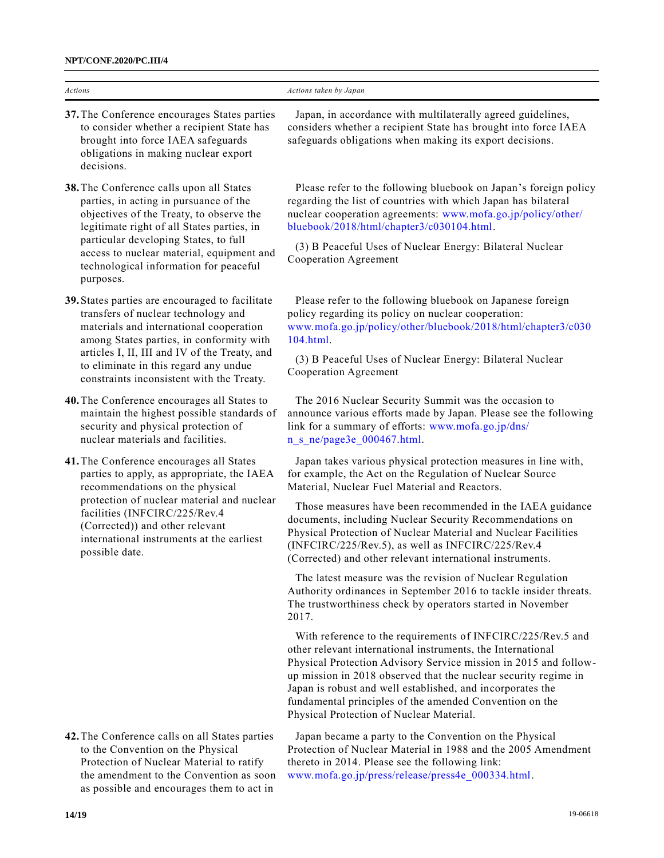| Actions                                                                                                                                                                                                                                                                                                                   | Actions taken by Japan                                                                                                                                                                                                                                                                                                                                                                                                                                                                                                                                                                                                                                                                                                                                                                                                                                                                                                                                                                                                                                                                          |
|---------------------------------------------------------------------------------------------------------------------------------------------------------------------------------------------------------------------------------------------------------------------------------------------------------------------------|-------------------------------------------------------------------------------------------------------------------------------------------------------------------------------------------------------------------------------------------------------------------------------------------------------------------------------------------------------------------------------------------------------------------------------------------------------------------------------------------------------------------------------------------------------------------------------------------------------------------------------------------------------------------------------------------------------------------------------------------------------------------------------------------------------------------------------------------------------------------------------------------------------------------------------------------------------------------------------------------------------------------------------------------------------------------------------------------------|
| 37. The Conference encourages States parties<br>to consider whether a recipient State has<br>brought into force IAEA safeguards<br>obligations in making nuclear export<br>decisions.                                                                                                                                     | Japan, in accordance with multilaterally agreed guidelines,<br>considers whether a recipient State has brought into force IAEA<br>safeguards obligations when making its export decisions.                                                                                                                                                                                                                                                                                                                                                                                                                                                                                                                                                                                                                                                                                                                                                                                                                                                                                                      |
| 38. The Conference calls upon all States<br>parties, in acting in pursuance of the<br>objectives of the Treaty, to observe the<br>legitimate right of all States parties, in<br>particular developing States, to full<br>access to nuclear material, equipment and<br>technological information for peaceful<br>purposes. | Please refer to the following bluebook on Japan's foreign policy<br>regarding the list of countries with which Japan has bilateral<br>nuclear cooperation agreements: www.mofa.go.jp/policy/other/<br>bluebook/2018/html/chapter3/c030104.html.<br>(3) B Peaceful Uses of Nuclear Energy: Bilateral Nuclear<br>Cooperation Agreement                                                                                                                                                                                                                                                                                                                                                                                                                                                                                                                                                                                                                                                                                                                                                            |
| 39. States parties are encouraged to facilitate<br>transfers of nuclear technology and<br>materials and international cooperation<br>among States parties, in conformity with<br>articles I, II, III and IV of the Treaty, and<br>to eliminate in this regard any undue<br>constraints inconsistent with the Treaty.      | Please refer to the following bluebook on Japanese foreign<br>policy regarding its policy on nuclear cooperation:<br>www.mofa.go.jp/policy/other/bluebook/2018/html/chapter3/c030<br>104.html.<br>(3) B Peaceful Uses of Nuclear Energy: Bilateral Nuclear<br>Cooperation Agreement                                                                                                                                                                                                                                                                                                                                                                                                                                                                                                                                                                                                                                                                                                                                                                                                             |
| 40. The Conference encourages all States to<br>maintain the highest possible standards of<br>security and physical protection of<br>nuclear materials and facilities.                                                                                                                                                     | The 2016 Nuclear Security Summit was the occasion to<br>announce various efforts made by Japan. Please see the following<br>link for a summary of efforts: www.mofa.go.jp/dns/<br>n s ne/page3e 000467.html.                                                                                                                                                                                                                                                                                                                                                                                                                                                                                                                                                                                                                                                                                                                                                                                                                                                                                    |
| 41. The Conference encourages all States<br>parties to apply, as appropriate, the IAEA<br>recommendations on the physical<br>protection of nuclear material and nuclear<br>facilities (INFCIRC/225/Rev.4<br>(Corrected)) and other relevant<br>international instruments at the earliest<br>possible date.                | Japan takes various physical protection measures in line with,<br>for example, the Act on the Regulation of Nuclear Source<br>Material, Nuclear Fuel Material and Reactors.<br>Those measures have been recommended in the IAEA guidance<br>documents, including Nuclear Security Recommendations on<br>Physical Protection of Nuclear Material and Nuclear Facilities<br>(INFCIRC/225/Rev.5), as well as INFCIRC/225/Rev.4<br>(Corrected) and other relevant international instruments.<br>The latest measure was the revision of Nuclear Regulation<br>Authority ordinances in September 2016 to tackle insider threats.<br>The trustworthiness check by operators started in November<br>2017.<br>With reference to the requirements of INFCIRC/225/Rev.5 and<br>other relevant international instruments, the International<br>Physical Protection Advisory Service mission in 2015 and follow-<br>up mission in 2018 observed that the nuclear security regime in<br>Japan is robust and well established, and incorporates the<br>fundamental principles of the amended Convention on the |
| 42 The Conference calls on all States parties                                                                                                                                                                                                                                                                             | Physical Protection of Nuclear Material.<br>Japan became a party to the Convention on the Physical                                                                                                                                                                                                                                                                                                                                                                                                                                                                                                                                                                                                                                                                                                                                                                                                                                                                                                                                                                                              |

**42.**The Conference calls on all States parties to the Convention on the Physical Protection of Nuclear Material to ratify the amendment to the Convention as soon as possible and encourages them to act in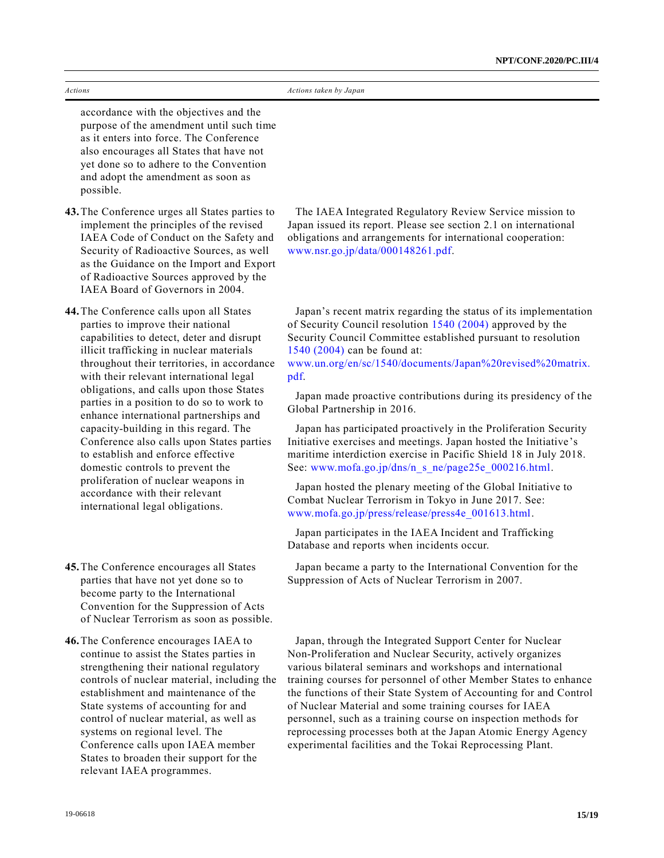| Actions                                                                                                                                                                                                                                                                                                                                                                                                                                                                                                                                                                                                                                                                          | Actions taken by Japan                                                                                                                                                                                                                                                                                                                                                                                                                                                                                                                                                                                                                                                                                                                                                                             |
|----------------------------------------------------------------------------------------------------------------------------------------------------------------------------------------------------------------------------------------------------------------------------------------------------------------------------------------------------------------------------------------------------------------------------------------------------------------------------------------------------------------------------------------------------------------------------------------------------------------------------------------------------------------------------------|----------------------------------------------------------------------------------------------------------------------------------------------------------------------------------------------------------------------------------------------------------------------------------------------------------------------------------------------------------------------------------------------------------------------------------------------------------------------------------------------------------------------------------------------------------------------------------------------------------------------------------------------------------------------------------------------------------------------------------------------------------------------------------------------------|
| accordance with the objectives and the<br>purpose of the amendment until such time<br>as it enters into force. The Conference<br>also encourages all States that have not<br>yet done so to adhere to the Convention<br>and adopt the amendment as soon as<br>possible.                                                                                                                                                                                                                                                                                                                                                                                                          |                                                                                                                                                                                                                                                                                                                                                                                                                                                                                                                                                                                                                                                                                                                                                                                                    |
| 43. The Conference urges all States parties to<br>implement the principles of the revised<br>IAEA Code of Conduct on the Safety and<br>Security of Radioactive Sources, as well<br>as the Guidance on the Import and Export<br>of Radioactive Sources approved by the<br>IAEA Board of Governors in 2004.                                                                                                                                                                                                                                                                                                                                                                        | The IAEA Integrated Regulatory Review Service mission to<br>Japan issued its report. Please see section 2.1 on international<br>obligations and arrangements for international cooperation:<br>www.nsr.go.jp/data/000148261.pdf.                                                                                                                                                                                                                                                                                                                                                                                                                                                                                                                                                                   |
| 44. The Conference calls upon all States<br>parties to improve their national<br>capabilities to detect, deter and disrupt<br>illicit trafficking in nuclear materials<br>throughout their territories, in accordance<br>with their relevant international legal<br>obligations, and calls upon those States<br>parties in a position to do so to work to<br>enhance international partnerships and<br>capacity-building in this regard. The<br>Conference also calls upon States parties<br>to establish and enforce effective<br>domestic controls to prevent the<br>proliferation of nuclear weapons in<br>accordance with their relevant<br>international legal obligations. | Japan's recent matrix regarding the status of its implementation<br>of Security Council resolution 1540 (2004) approved by the<br>Security Council Committee established pursuant to resolution<br>1540 (2004) can be found at:<br>www.un.org/en/sc/1540/documents/Japan%20revised%20matrix.<br>pdf.<br>Japan made proactive contributions during its presidency of the<br>Global Partnership in 2016.<br>Japan has participated proactively in the Proliferation Security<br>Initiative exercises and meetings. Japan hosted the Initiative's<br>maritime interdiction exercise in Pacific Shield 18 in July 2018.<br>See: www.mofa.go.jp/dns/n s ne/page25e 000216.html.<br>Japan hosted the plenary meeting of the Global Initiative to<br>Combat Nuclear Terrorism in Tokyo in June 2017. See: |

**45.**The Conference encourages all States parties that have not yet done so to become party to the International Convention for the Suppression of Acts of Nuclear Terrorism as soon as possible.

**46.**The Conference encourages IAEA to continue to assist the States parties in strengthening their national regulatory controls of nuclear material, including the establishment and maintenance of the State systems of accounting for and control of nuclear material, as well as systems on regional level. The Conference calls upon IAEA member States to broaden their support for the relevant IAEA programmes.

Japan participates in the IAEA Incident and Trafficking Database and reports when incidents occur.

[www.mofa.go.jp/press/release/press4e\\_001613.html.](http://www.mofa.go.jp/press/release/press4e_001613.html)

Japan became a party to the International Convention for the Suppression of Acts of Nuclear Terrorism in 2007.

Japan, through the Integrated Support Center for Nuclear Non-Proliferation and Nuclear Security, actively organizes various bilateral seminars and workshops and international training courses for personnel of other Member States to enhance the functions of their State System of Accounting for and Control of Nuclear Material and some training courses for IAEA personnel, such as a training course on inspection methods for reprocessing processes both at the Japan Atomic Energy Agency experimental facilities and the Tokai Reprocessing Plant.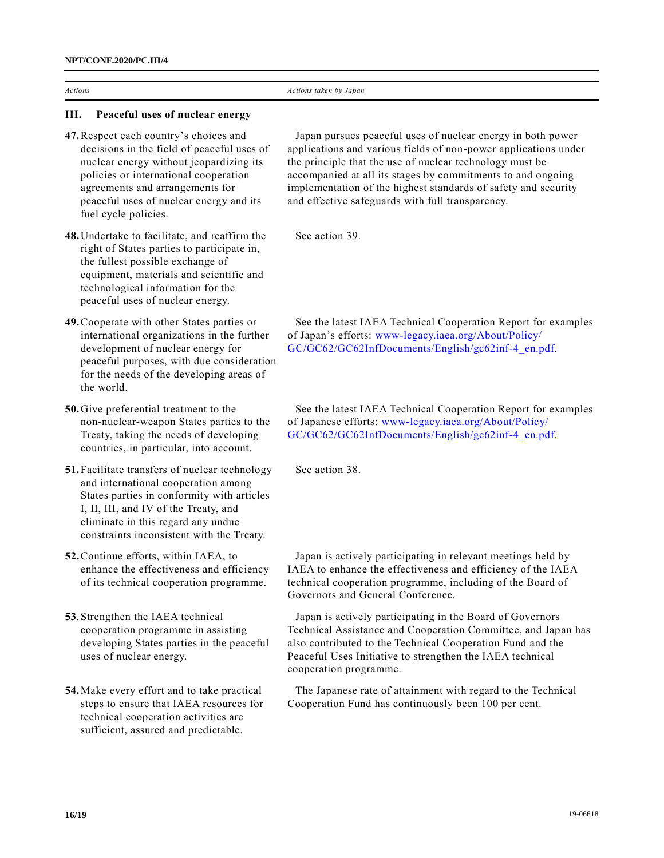#### **III. Peaceful uses of nuclear energy**

- **47.**Respect each country's choices and decisions in the field of peaceful uses of nuclear energy without jeopardizing its policies or international cooperation agreements and arrangements for peaceful uses of nuclear energy and its fuel cycle policies.
- **48.**Undertake to facilitate, and reaffirm the right of States parties to participate in, the fullest possible exchange of equipment, materials and scientific and technological information for the peaceful uses of nuclear energy.
- **49.**Cooperate with other States parties or international organizations in the further development of nuclear energy for peaceful purposes, with due consideration for the needs of the developing areas of the world.
- **50.**Give preferential treatment to the non-nuclear-weapon States parties to the Treaty, taking the needs of developing countries, in particular, into account.
- **51.**Facilitate transfers of nuclear technology and international cooperation among States parties in conformity with articles I, II, III, and IV of the Treaty, and eliminate in this regard any undue constraints inconsistent with the Treaty.
- **52.**Continue efforts, within IAEA, to enhance the effectiveness and efficiency of its technical cooperation programme.
- **53**.Strengthen the IAEA technical cooperation programme in assisting developing States parties in the peaceful uses of nuclear energy.
- **54.**Make every effort and to take practical steps to ensure that IAEA resources for technical cooperation activities are sufficient, assured and predictable.

Japan pursues peaceful uses of nuclear energy in both power applications and various fields of non-power applications under the principle that the use of nuclear technology must be accompanied at all its stages by commitments to and ongoing implementation of the highest standards of safety and security and effective safeguards with full transparency.

See action 39.

See the latest IAEA Technical Cooperation Report for examples of Japan's efforts: [www-legacy.iaea.org/About/Policy/](https://www-legacy.iaea.org/About/Policy/GC/GC62/GC62InfDocuments/English/gc62inf-4_en.pdf) [GC/GC62/GC62InfDocuments/English/gc62inf-4\\_en.pdf.](https://www-legacy.iaea.org/About/Policy/GC/GC62/GC62InfDocuments/English/gc62inf-4_en.pdf)

See the latest IAEA Technical Cooperation Report for examples of Japanese efforts: [www-legacy.iaea.org/About/Policy/](https://www-legacy.iaea.org/About/Policy/GC/GC62/GC62InfDocuments/English/gc62inf-4_en.pdf) [GC/GC62/GC62InfDocuments/English/gc62inf-4\\_en.pdf.](https://www-legacy.iaea.org/About/Policy/GC/GC62/GC62InfDocuments/English/gc62inf-4_en.pdf)

See action 38.

Japan is actively participating in relevant meetings held by IAEA to enhance the effectiveness and efficiency of the IAEA technical cooperation programme, including of the Board of Governors and General Conference.

Japan is actively participating in the Board of Governors Technical Assistance and Cooperation Committee, and Japan has also contributed to the Technical Cooperation Fund and the Peaceful Uses Initiative to strengthen the IAEA technical cooperation programme.

The Japanese rate of attainment with regard to the Technical Cooperation Fund has continuously been 100 per cent.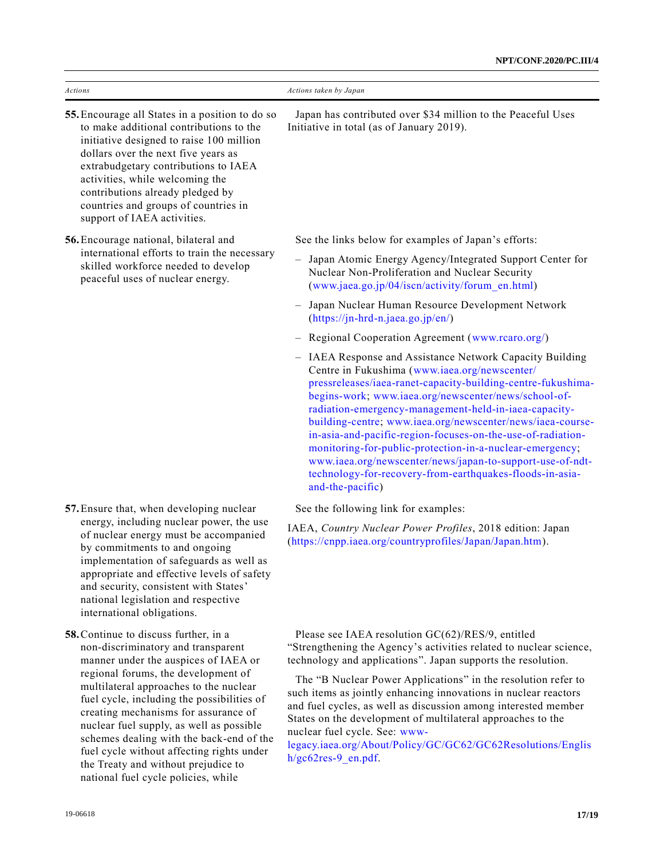| Actions                                                                                                                                                                                                                                                                                                                                                                                | Actions taken by Japan                                                                                                                                                                                                                                                                                                                                                                                                                                                                                                                                                                                                           |
|----------------------------------------------------------------------------------------------------------------------------------------------------------------------------------------------------------------------------------------------------------------------------------------------------------------------------------------------------------------------------------------|----------------------------------------------------------------------------------------------------------------------------------------------------------------------------------------------------------------------------------------------------------------------------------------------------------------------------------------------------------------------------------------------------------------------------------------------------------------------------------------------------------------------------------------------------------------------------------------------------------------------------------|
| 55. Encourage all States in a position to do so<br>to make additional contributions to the<br>initiative designed to raise 100 million<br>dollars over the next five years as<br>extrabudgetary contributions to IAEA<br>activities, while welcoming the<br>contributions already pledged by<br>countries and groups of countries in<br>support of IAEA activities.                    | Japan has contributed over \$34 million to the Peaceful Uses<br>Initiative in total (as of January 2019).                                                                                                                                                                                                                                                                                                                                                                                                                                                                                                                        |
| 56. Encourage national, bilateral and<br>international efforts to train the necessary<br>skilled workforce needed to develop<br>peaceful uses of nuclear energy.                                                                                                                                                                                                                       | See the links below for examples of Japan's efforts:                                                                                                                                                                                                                                                                                                                                                                                                                                                                                                                                                                             |
|                                                                                                                                                                                                                                                                                                                                                                                        | - Japan Atomic Energy Agency/Integrated Support Center for<br>Nuclear Non-Proliferation and Nuclear Security<br>(www.jaea.go.jp/04/iscn/activity/forum_en.html)                                                                                                                                                                                                                                                                                                                                                                                                                                                                  |
|                                                                                                                                                                                                                                                                                                                                                                                        | Japan Nuclear Human Resource Development Network<br>$(https://jn-hrd-n.jaea.gov.jp/en/)$                                                                                                                                                                                                                                                                                                                                                                                                                                                                                                                                         |
|                                                                                                                                                                                                                                                                                                                                                                                        | - Regional Cooperation Agreement (www.rcaro.org/)                                                                                                                                                                                                                                                                                                                                                                                                                                                                                                                                                                                |
|                                                                                                                                                                                                                                                                                                                                                                                        | - IAEA Response and Assistance Network Capacity Building<br>Centre in Fukushima (www.iaea.org/newscenter/<br>pressreleases/iaea-ranet-capacity-building-centre-fukushima-<br>begins-work; www.iaea.org/newscenter/news/school-of-<br>radiation-emergency-management-held-in-iaea-capacity-<br>building-centre; www.iaea.org/newscenter/news/iaea-course-<br>in-asia-and-pacific-region-focuses-on-the-use-of-radiation-<br>monitoring-for-public-protection-in-a-nuclear-emergency;<br>www.iaea.org/newscenter/news/japan-to-support-use-of-ndt-<br>technology-for-recovery-from-earthquakes-floods-in-asia-<br>and-the-pacific) |
| 57. Ensure that, when developing nuclear                                                                                                                                                                                                                                                                                                                                               | See the following link for examples:                                                                                                                                                                                                                                                                                                                                                                                                                                                                                                                                                                                             |
| energy, including nuclear power, the use<br>of nuclear energy must be accompanied<br>by commitments to and ongoing<br>implementation of safeguards as well as<br>appropriate and effective levels of safety<br>and security, consistent with States'<br>national legislation and respective<br>international obligations.                                                              | IAEA, Country Nuclear Power Profiles, 2018 edition: Japan<br>(https://cnpp.iaea.org/countryprofiles/Japan/Japan.htm).                                                                                                                                                                                                                                                                                                                                                                                                                                                                                                            |
| 58. Continue to discuss further, in a<br>non-discriminatory and transparent<br>manner under the auspices of IAEA or                                                                                                                                                                                                                                                                    | Please see IAEA resolution GC(62)/RES/9, entitled<br>"Strengthening the Agency's activities related to nuclear science,<br>technology and applications". Japan supports the resolution.                                                                                                                                                                                                                                                                                                                                                                                                                                          |
| regional forums, the development of<br>multilateral approaches to the nuclear<br>fuel cycle, including the possibilities of<br>creating mechanisms for assurance of<br>nuclear fuel supply, as well as possible<br>schemes dealing with the back-end of the<br>fuel cycle without affecting rights under<br>the Treaty and without prejudice to<br>national fuel cycle policies, while | The "B Nuclear Power Applications" in the resolution refer to<br>such items as jointly enhancing innovations in nuclear reactors<br>and fuel cycles, as well as discussion among interested member<br>States on the development of multilateral approaches to the<br>nuclear fuel cycle. See: www-<br>legacy.iaea.org/About/Policy/GC/GC62/GC62Resolutions/Englis<br>$h/gc62res-9$ en.pdf.                                                                                                                                                                                                                                       |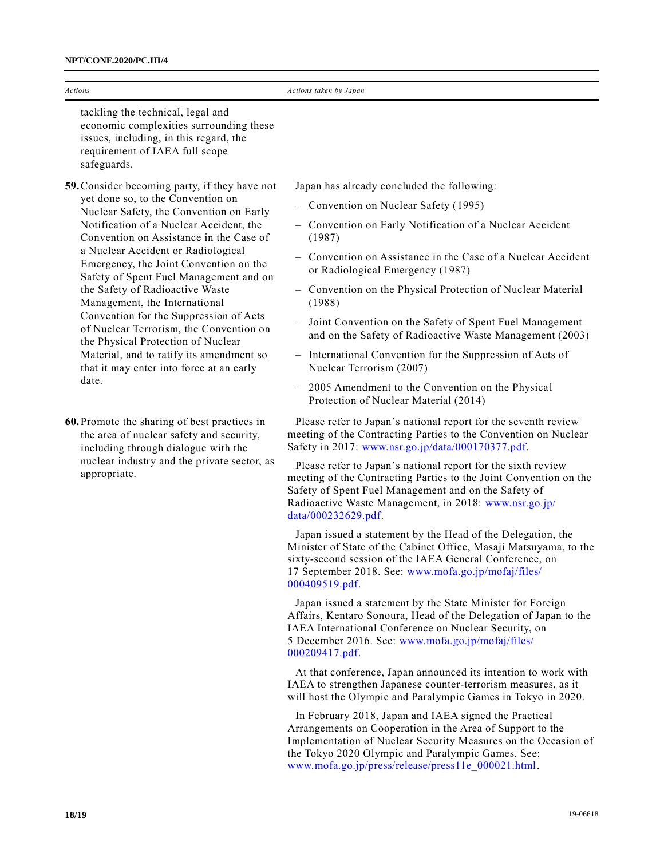| Actions                                                                                                                                                                                                                                                                                                                                                                                                                                                                                                                                                                                                                                       | Actions taken by Japan                                                                                                                                                                                                                                                                                                                                                                                                                                                                                                                                                                                                                                                                                                                      |
|-----------------------------------------------------------------------------------------------------------------------------------------------------------------------------------------------------------------------------------------------------------------------------------------------------------------------------------------------------------------------------------------------------------------------------------------------------------------------------------------------------------------------------------------------------------------------------------------------------------------------------------------------|---------------------------------------------------------------------------------------------------------------------------------------------------------------------------------------------------------------------------------------------------------------------------------------------------------------------------------------------------------------------------------------------------------------------------------------------------------------------------------------------------------------------------------------------------------------------------------------------------------------------------------------------------------------------------------------------------------------------------------------------|
| tackling the technical, legal and<br>economic complexities surrounding these<br>issues, including, in this regard, the<br>requirement of IAEA full scope<br>safeguards.                                                                                                                                                                                                                                                                                                                                                                                                                                                                       |                                                                                                                                                                                                                                                                                                                                                                                                                                                                                                                                                                                                                                                                                                                                             |
| 59. Consider becoming party, if they have not<br>yet done so, to the Convention on<br>Nuclear Safety, the Convention on Early<br>Notification of a Nuclear Accident, the<br>Convention on Assistance in the Case of<br>a Nuclear Accident or Radiological<br>Emergency, the Joint Convention on the<br>Safety of Spent Fuel Management and on<br>the Safety of Radioactive Waste<br>Management, the International<br>Convention for the Suppression of Acts<br>of Nuclear Terrorism, the Convention on<br>the Physical Protection of Nuclear<br>Material, and to ratify its amendment so<br>that it may enter into force at an early<br>date. | Japan has already concluded the following:<br>- Convention on Nuclear Safety (1995)<br>- Convention on Early Notification of a Nuclear Accident<br>(1987)<br>Convention on Assistance in the Case of a Nuclear Accident<br>or Radiological Emergency (1987)<br>- Convention on the Physical Protection of Nuclear Material<br>(1988)<br>- Joint Convention on the Safety of Spent Fuel Management<br>and on the Safety of Radioactive Waste Management (2003)<br>- International Convention for the Suppression of Acts of<br>Nuclear Terrorism (2007)<br>- 2005 Amendment to the Convention on the Physical<br>Protection of Nuclear Material (2014)                                                                                       |
| 60. Promote the sharing of best practices in<br>the area of nuclear safety and security,<br>including through dialogue with the<br>nuclear industry and the private sector, as<br>appropriate.                                                                                                                                                                                                                                                                                                                                                                                                                                                | Please refer to Japan's national report for the seventh review<br>meeting of the Contracting Parties to the Convention on Nuclear<br>Safety in 2017: www.nsr.go.jp/data/000170377.pdf.<br>Please refer to Japan's national report for the sixth review<br>meeting of the Contracting Parties to the Joint Convention on the<br>Safety of Spent Fuel Management and on the Safety of<br>Radioactive Waste Management, in 2018: www.nsr.go.jp/<br>data/000232629.pdf.<br>Japan issued a statement by the Head of the Delegation, the<br>Minister of State of the Cabinet Office, Masaji Matsuyama, to the<br>sixty-second session of the IAEA General Conference, on<br>17 September 2018. See: www.mofa.go.jp/mofaj/files/<br>000409519.pdf. |

Japan issued a statement by the State Minister for Foreign Affairs, Kentaro Sonoura, Head of the Delegation of Japan to the IAEA International Conference on Nuclear Security, on 5 December 2016. See: [www.mofa.go.jp/mofaj/files/](http://www.mofa.go.jp/mofaj/files/%0b000209417.pdf) [000209417.pdf.](http://www.mofa.go.jp/mofaj/files/%0b000209417.pdf)

At that conference, Japan announced its intention to work with IAEA to strengthen Japanese counter-terrorism measures, as it will host the Olympic and Paralympic Games in Tokyo in 2020.

In February 2018, Japan and IAEA signed the Practical Arrangements on Cooperation in the Area of Support to the Implementation of Nuclear Security Measures on the Occasion of the Tokyo 2020 Olympic and Paralympic Games. See: [www.mofa.go.jp/press/release/press11e\\_000021.html.](http://www.mofa.go.jp/press/release/press11e_000021.html)